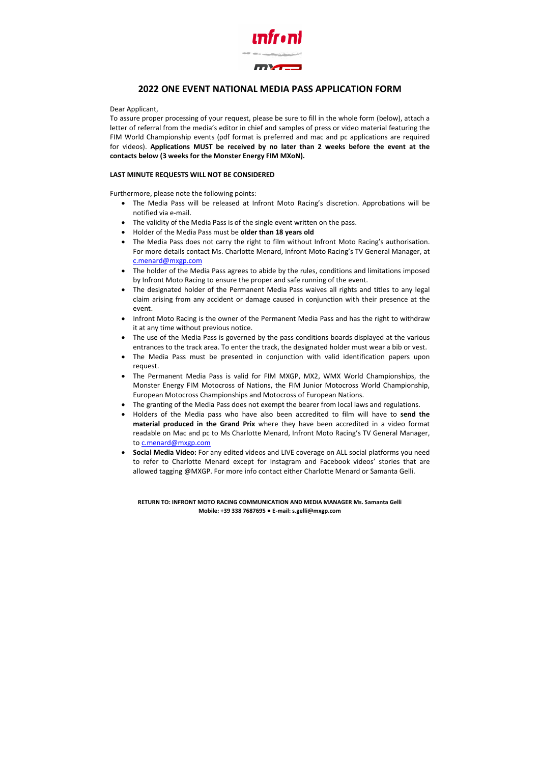

## 2022 ONE EVENT NATIONAL MEDIA PASS APPLICATION FORM

RETURN TO: INFRONT MOTO RACING COMMUNICATION AND MEDIA MANAGER Ms. Samanta Gelli Mobile: +39 338 7687695 ● E-mail: s.gelli@mxgp.com

Dear Applicant,

To assure proper processing of your request, please be sure to fill in the whole form (below), attach a letter of referral from the media's editor in chief and samples of press or video material featuring the FIM World Championship events (pdf format is preferred and mac and pc applications are required for videos). Applications MUST be received by no later than 2 weeks before the event at the contacts below (3 weeks for the Monster Energy FIM MXoN).

## LAST MINUTE REQUESTS WILL NOT BE CONSIDERED

Furthermore, please note the following points:

- The Media Pass will be released at Infront Moto Racing's discretion. Approbations will be notified via e-mail.
- The validity of the Media Pass is of the single event written on the pass.
- Holder of the Media Pass must be older than 18 years old
- The Media Pass does not carry the right to film without Infront Moto Racing's authorisation. For more details contact Ms. Charlotte Menard, Infront Moto Racing's TV General Manager, at c.menard@mxgp.com
- The holder of the Media Pass agrees to abide by the rules, conditions and limitations imposed by Infront Moto Racing to ensure the proper and safe running of the event.
- The designated holder of the Permanent Media Pass waives all rights and titles to any legal claim arising from any accident or damage caused in conjunction with their presence at the event.
- Infront Moto Racing is the owner of the Permanent Media Pass and has the right to withdraw it at any time without previous notice.
- The use of the Media Pass is governed by the pass conditions boards displayed at the various entrances to the track area. To enter the track, the designated holder must wear a bib or vest.
- The Media Pass must be presented in conjunction with valid identification papers upon request.
- The Permanent Media Pass is valid for FIM MXGP, MX2, WMX World Championships, the Monster Energy FIM Motocross of Nations, the FIM Junior Motocross World Championship, European Motocross Championships and Motocross of European Nations.
- The granting of the Media Pass does not exempt the bearer from local laws and regulations.
- Holders of the Media pass who have also been accredited to film will have to send the material produced in the Grand Prix where they have been accredited in a video format readable on Mac and pc to Ms Charlotte Menard, Infront Moto Racing's TV General Manager, to c.menard@mxgp.com
- Social Media Video: For any edited videos and LIVE coverage on ALL social platforms you need to refer to Charlotte Menard except for Instagram and Facebook videos' stories that are allowed tagging @MXGP. For more info contact either Charlotte Menard or Samanta Gelli.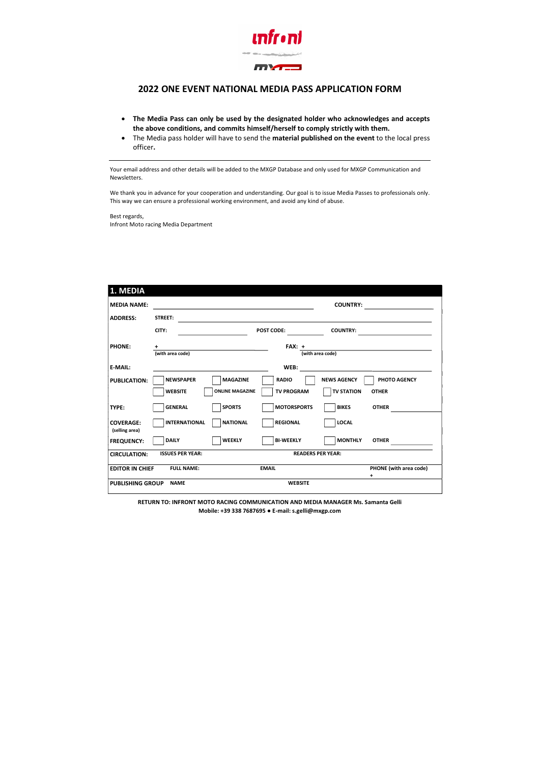

## 2022 ONE EVENT NATIONAL MEDIA PASS APPLICATION FORM

RETURN TO: INFRONT MOTO RACING COMMUNICATION AND MEDIA MANAGER Ms. Samanta Gelli Mobile: +39 338 7687695 ● E-mail: s.gelli@mxgp.com

- The Media Pass can only be used by the designated holder who acknowledges and accepts the above conditions, and commits himself/herself to comply strictly with them.
- The Media pass holder will have to send the material published on the event to the local press officer.

| 1. MEDIA                           |                         |                        |                          |                    |                                     |
|------------------------------------|-------------------------|------------------------|--------------------------|--------------------|-------------------------------------|
| <b>MEDIA NAME:</b>                 |                         |                        |                          | <b>COUNTRY:</b>    |                                     |
| <b>ADDRESS:</b>                    | <b>STREET:</b>          |                        |                          |                    |                                     |
|                                    | CITY:                   |                        | <b>POST CODE:</b>        | <b>COUNTRY:</b>    |                                     |
| <b>PHONE:</b>                      | $\ddot{}$               |                        | $FAX: +$                 |                    |                                     |
|                                    | (with area code)        |                        |                          | (with area code)   |                                     |
| <b>E-MAIL:</b>                     |                         |                        | WEB:                     |                    |                                     |
| <b>PUBLICATION:</b>                | <b>NEWSPAPER</b>        | <b>MAGAZINE</b>        | <b>RADIO</b>             | <b>NEWS AGENCY</b> | PHOTO AGENCY                        |
|                                    | <b>WEBSITE</b>          | <b>ONLINE MAGAZINE</b> | <b>TV PROGRAM</b>        | <b>TV STATION</b>  | <b>OTHER</b>                        |
| TYPE:                              | <b>GENERAL</b>          | <b>SPORTS</b>          | <b>MOTORSPORTS</b>       | <b>BIKES</b>       | <b>OTHER</b>                        |
| <b>COVERAGE:</b><br>(selling area) | <b>INTERNATIONAL</b>    | <b>NATIONAL</b>        | <b>REGIONAL</b>          | <b>LOCAL</b>       |                                     |
| <b>FREQUENCY:</b>                  | <b>DAILY</b>            | <b>WEEKLY</b>          | <b>BI-WEEKLY</b>         | <b>MONTHLY</b>     | <b>OTHER</b>                        |
| <b>CIRCULATION:</b>                | <b>ISSUES PER YEAR:</b> |                        | <b>READERS PER YEAR:</b> |                    |                                     |
| <b>EDITOR IN CHIEF</b>             | <b>FULL NAME:</b>       |                        | <b>EMAIL</b>             |                    | PHONE (with area code)<br>$\ddot{}$ |
| <b>PUBLISHING GROUP</b>            | <b>NAME</b>             |                        | <b>WEBSITE</b>           |                    |                                     |

Your email address and other details will be added to the MXGP Database and only used for MXGP Communication and Newsletters.

We thank you in advance for your cooperation and understanding. Our goal is to issue Media Passes to professionals only. This way we can ensure a professional working environment, and avoid any kind of abuse.

Best regards, Infront Moto racing Media Department